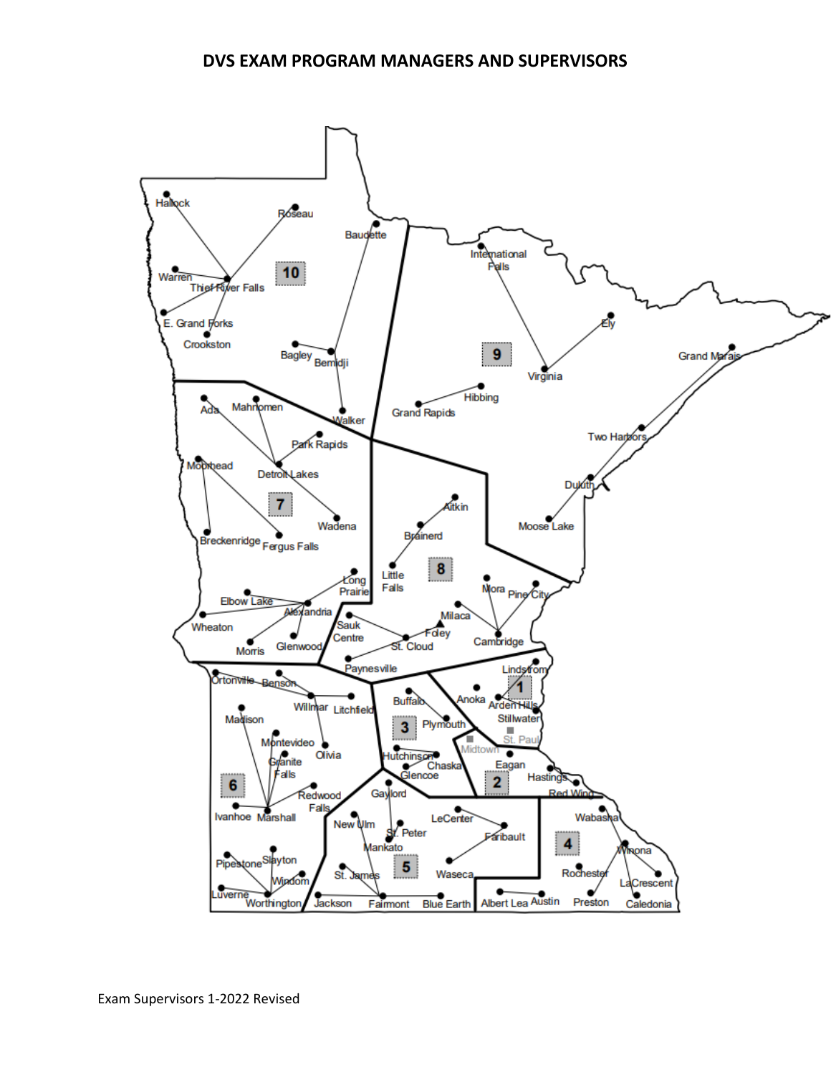## **DVS EXAM PROGRAM MANAGERS AND SUPERVISORS**

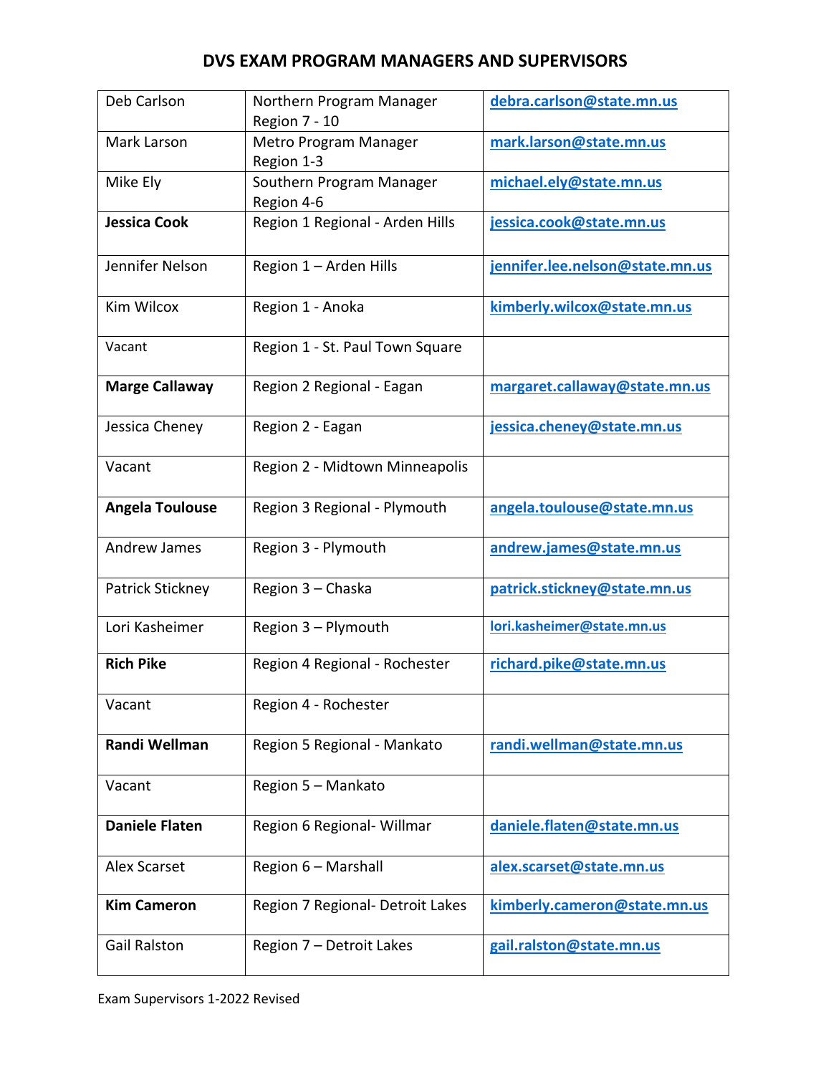## **DVS EXAM PROGRAM MANAGERS AND SUPERVISORS**

| Deb Carlson            | Northern Program Manager<br>Region 7 - 10 | debra.carlson@state.mn.us       |
|------------------------|-------------------------------------------|---------------------------------|
| Mark Larson            | Metro Program Manager<br>Region 1-3       | mark.larson@state.mn.us         |
| Mike Ely               | Southern Program Manager<br>Region 4-6    | michael.ely@state.mn.us         |
| <b>Jessica Cook</b>    | Region 1 Regional - Arden Hills           | jessica.cook@state.mn.us        |
| Jennifer Nelson        | Region 1 - Arden Hills                    | jennifer.lee.nelson@state.mn.us |
| Kim Wilcox             | Region 1 - Anoka                          | kimberly.wilcox@state.mn.us     |
| Vacant                 | Region 1 - St. Paul Town Square           |                                 |
| <b>Marge Callaway</b>  | Region 2 Regional - Eagan                 | margaret.callaway@state.mn.us   |
| Jessica Cheney         | Region 2 - Eagan                          | jessica.cheney@state.mn.us      |
| Vacant                 | Region 2 - Midtown Minneapolis            |                                 |
| <b>Angela Toulouse</b> | Region 3 Regional - Plymouth              | angela.toulouse@state.mn.us     |
| Andrew James           | Region 3 - Plymouth                       | andrew.james@state.mn.us        |
| Patrick Stickney       | Region 3 - Chaska                         | patrick.stickney@state.mn.us    |
| Lori Kasheimer         | Region 3 - Plymouth                       | lori.kasheimer@state.mn.us      |
| <b>Rich Pike</b>       | Region 4 Regional - Rochester             | richard.pike@state.mn.us        |
| Vacant                 | Region 4 - Rochester                      |                                 |
| Randi Wellman          | Region 5 Regional - Mankato               | randi.wellman@state.mn.us       |
| Vacant                 | Region 5 - Mankato                        |                                 |
| <b>Daniele Flaten</b>  | Region 6 Regional- Willmar                | daniele.flaten@state.mn.us      |
| <b>Alex Scarset</b>    | Region 6 - Marshall                       | alex.scarset@state.mn.us        |
| <b>Kim Cameron</b>     | Region 7 Regional- Detroit Lakes          | kimberly.cameron@state.mn.us    |
| <b>Gail Ralston</b>    | Region 7 - Detroit Lakes                  | gail.ralston@state.mn.us        |